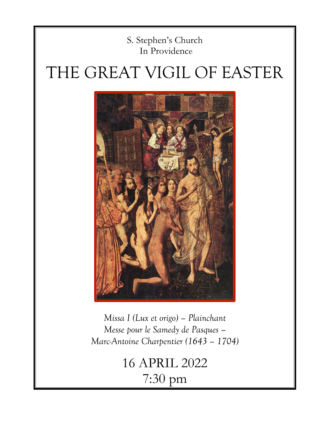# S. Stephen's Church In Providence

# THE GREAT VIGIL OF EASTER



*Missa I (Lux et origo) – Plainchant Messe pour le Samedy de Pasques – Marc-Antoine Charpentier (1643 – 1704)* 

> 16 APRIL 2022 7:30 pm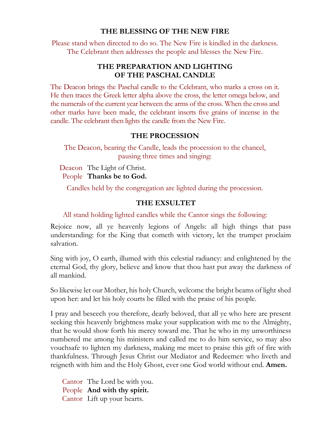### **THE BLESSING OF THE NEW FIRE**

Please stand when directed to do so. The New Fire is kindled in the darkness. The Celebrant then addresses the people and blesses the New Fire.

### **THE PREPARATION AND LIGHTING OF THE PASCHAL CANDLE**

The Deacon brings the Paschal candle to the Celebrant, who marks a cross on it. He then traces the Greek letter alpha above the cross, the letter omega below, and the numerals of the current year between the arms of the cross. When the cross and other marks have been made, the celebrant inserts five grains of incense in the candle. The celebrant then lights the candle from the New Fire.

### **THE PROCESSION**

The Deacon, bearing the Candle, leads the procession to the chancel, pausing three times and singing:

Deacon The Light of Christ. People **Thanks be to God.**

Candles held by the congregation are lighted during the procession.

### **THE EXSULTET**

### All stand holding lighted candles while the Cantor sings the following:

Rejoice now, all ye heavenly legions of Angels: all high things that pass understanding: for the King that cometh with victory, let the trumpet proclaim salvation.

Sing with joy, O earth, illumed with this celestial radiancy: and enlightened by the eternal God, thy glory, believe and know that thou hast put away the darkness of all mankind.

So likewise let our Mother, his holy Church, welcome the bright beams of light shed upon her: and let his holy courts be filled with the praise of his people.

I pray and beseech you therefore, dearly beloved, that all ye who here are present seeking this heavenly brightness make your supplication with me to the Almighty, that he would show forth his mercy toward me. That he who in my unworthiness numbered me among his ministers and called me to do him service, so may also vouchsafe to lighten my darkness, making me meet to praise this gift of fire with thankfulness. Through Jesus Christ our Mediator and Redeemer: who liveth and reigneth with him and the Holy Ghost, ever one God world without end. **Amen.**

Cantor The Lord be with you. People **And with thy spirit.** Cantor Lift up your hearts.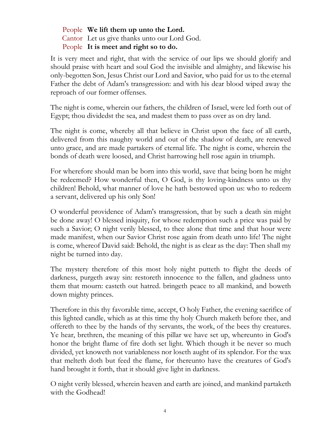People **We lift them up unto the Lord.** Cantor Let us give thanks unto our Lord God. People **It is meet and right so to do.**

It is very meet and right, that with the service of our lips we should glorify and should praise with heart and soul God the invisible and almighty, and likewise his only-begotten Son, Jesus Christ our Lord and Savior, who paid for us to the eternal Father the debt of Adam's transgression: and with his dear blood wiped away the reproach of our former offenses.

The night is come, wherein our fathers, the children of Israel, were led forth out of Egypt; thou dividedst the sea, and madest them to pass over as on dry land.

The night is come, whereby all that believe in Christ upon the face of all earth, delivered from this naughty world and out of the shadow of death, are renewed unto grace, and are made partakers of eternal life. The night is come, wherein the bonds of death were loosed, and Christ harrowing hell rose again in triumph.

For wherefore should man be born into this world, save that being born he might be redeemed? How wonderful then, O God, is thy loving-kindness unto us thy children! Behold, what manner of love he hath bestowed upon us: who to redeem a servant, delivered up his only Son!

O wonderful providence of Adam's transgression, that by such a death sin might be done away! O blessed iniquity, for whose redemption such a price was paid by such a Savior; O night verily blessed, to thee alone that time and that hour were made manifest, when our Savior Christ rose again from death unto life! The night is come, whereof David said: Behold, the night is as clear as the day: Then shall my night be turned into day.

The mystery therefore of this most holy night putteth to flight the deeds of darkness, purgeth away sin: restoreth innocence to the fallen, and gladness unto them that mourn: casteth out hatred. bringeth peace to all mankind, and boweth down mighty princes.

Therefore in this thy favorable time, accept, O holy Father, the evening sacrifice of this lighted candle, which as at this time thy holy Church maketh before thee, and offereth to thee by the hands of thy servants, the work, of the bees thy creatures. Ye hear, brethren, the meaning of this pillar we have set up, whereunto in God's honor the bright flame of fire doth set light. Which though it be never so much divided, yet knoweth not variableness nor loseth aught of its splendor. For the wax that melteth doth but feed the flame, for thereunto have the creatures of God's hand brought it forth, that it should give light in darkness.

O night verily blessed, wherein heaven and earth are joined, and mankind partaketh with the Godhead!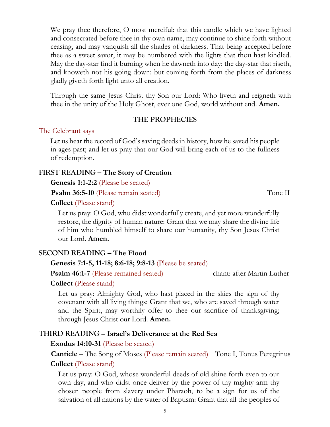We pray thee therefore, O most merciful: that this candle which we have lighted and consecrated before thee in thy own name, may continue to shine forth without ceasing, and may vanquish all the shades of darkness. That being accepted before thee as a sweet savor, it may be numbered with the lights that thou hast kindled. May the day-star find it burning when he dawneth into day: the day-star that riseth, and knoweth not his going down: but coming forth from the places of darkness gladly giveth forth light unto all creation.

Through the same Jesus Christ thy Son our Lord: Who liveth and reigneth with thee in the unity of the Holy Ghost, ever one God, world without end. **Amen.**

### **THE PROPHECIES**

### The Celebrant says

Let us hear the record of God's saving deeds in history, how he saved his people in ages past; and let us pray that our God will bring each of us to the fullness of redemption.

## **FIRST READING – The Story of Creation**

**Genesis 1:1-2:2** (Please be seated)

**Psalm 36:5-10** (Please remain seated) Tone II

**Collect** (Please stand)

Let us pray: O God, who didst wonderfully create, and yet more wonderfully restore, the dignity of human nature: Grant that we may share the divine life of him who humbled himself to share our humanity, thy Son Jesus Christ our Lord. **Amen.**

### **SECOND READING – The Flood**

### **Genesis 7:1-5, 11-18; 8:6-18; 9:8-13** (Please be seated)

**Psalm 46:1-7** (Please remained seated) chant: after Martin Luther

### **Collect** (Please stand)

Let us pray: Almighty God, who hast placed in the skies the sign of thy covenant with all living things: Grant that we, who are saved through water and the Spirit, may worthily offer to thee our sacrifice of thanksgiving; through Jesus Christ our Lord. **Amen.**

### **THIRD READING** – **Israel's Deliverance at the Red Sea**

### **Exodus 14:10-31** (Please be seated)

**Canticle –** The Song of Moses (Please remain seated) Tone I, Tonus Peregrinus **Collect** (Please stand)

Let us pray: O God, whose wonderful deeds of old shine forth even to our own day, and who didst once deliver by the power of thy mighty arm thy chosen people from slavery under Pharaoh, to be a sign for us of the salvation of all nations by the water of Baptism: Grant that all the peoples of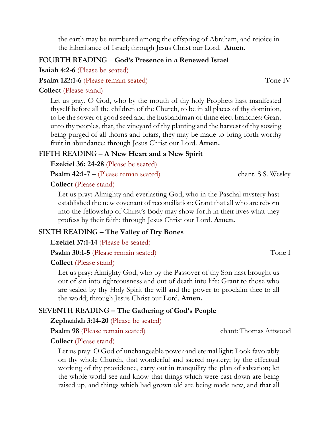the earth may be numbered among the offspring of Abraham, and rejoice in the inheritance of Israel; through Jesus Christ our Lord. **Amen.**

### **FOURTH READING** – **God's Presence in a Renewed Israel**

**Isaiah 4:2-6** (Please be seated)

**Psalm 122:1-6** (Please remain seated) Tone IV

### **Collect** (Please stand)

Let us pray. O God, who by the mouth of thy holy Prophets hast manifested thyself before all the children of the Church, to be in all places of thy dominion, to be the sower of good seed and the husbandman of thine elect branches: Grant unto thy peoples, that, the vineyard of thy planting and the harvest of thy sowing being purged of all thorns and briars, they may be made to bring forth worthy fruit in abundance; through Jesus Christ our Lord. **Amen.**

### **FIFTH READING – A New Heart and a New Spirit**

**Ezekiel 36: 24-28** (Please be seated)

**Psalm 42:1-7 –** (Please reman seated) chant. S.S. Wesley

### **Collect** (Please stand)

Let us pray: Almighty and everlasting God, who in the Paschal mystery hast established the new covenant of reconciliation: Grant that all who are reborn into the fellowship of Christ's Body may show forth in their lives what they profess by their faith; through Jesus Christ our Lord. **Amen.**

### **SIXTH READING – The Valley of Dry Bones**

**Ezekiel 37:1-14** (Please be seated)

**Psalm 30:1-5** (Please remain seated) Tone I

**Collect** (Please stand)

Let us pray: Almighty God, who by the Passover of thy Son hast brought us out of sin into righteousness and out of death into life: Grant to those who are sealed by thy Holy Spirit the will and the power to proclaim thee to all the world; through Jesus Christ our Lord. **Amen.**

### **SEVENTH READING – The Gathering of God's People**

### **Zephaniah 3:14-20** (Please be seated)

**Psalm 98** (Please remain seated) chant: Thomas Attwood

**Collect** (Please stand)

Let us pray: O God of unchangeable power and eternal light: Look favorably on thy whole Church, that wonderful and sacred mystery; by the effectual working of thy providence, carry out in tranquility the plan of salvation; let the whole world see and know that things which were cast down are being raised up, and things which had grown old are being made new, and that all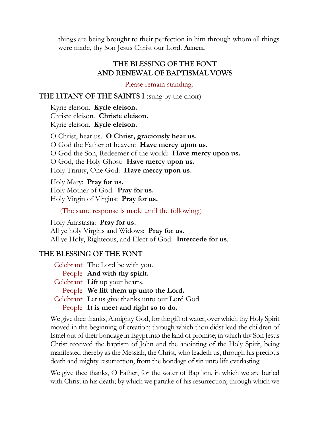things are being brought to their perfection in him through whom all things were made, thy Son Jesus Christ our Lord. **Amen.**

### **THE BLESSING OF THE FONT AND RENEWAL OF BAPTISMAL VOWS**

Please remain standing.

### **THE LITANY OF THE SAINTS I** (sung by the choir)

Kyrie eleison. **Kyrie eleison.** Christe eleison. **Christe eleison.** Kyrie eleison. **Kyrie eleison.**

O Christ, hear us. **O Christ, graciously hear us.** O God the Father of heaven: **Have mercy upon us.** O God the Son, Redeemer of the world: **Have mercy upon us.** O God, the Holy Ghost: **Have mercy upon us.** Holy Trinity, One God: **Have mercy upon us.**

Holy Mary: **Pray for us.** Holy Mother of God: **Pray for us.** Holy Virgin of Virgins: **Pray for us.**

(The same response is made until the following:)

Holy Anastasia: **Pray for us.** All ye holy Virgins and Widows: **Pray for us.** All ye Holy, Righteous, and Elect of God: **Intercede for us**.

### **THE BLESSING OF THE FONT**

Celebrant The Lord be with you. People **And with thy spirit.** Celebrant Lift up your hearts. People **We lift them up unto the Lord.** Celebrant Let us give thanks unto our Lord God. People **It is meet and right so to do.**

We give thee thanks, Almighty God, for the gift of water, over which thy Holy Spirit moved in the beginning of creation; through which thou didst lead the children of Israel out of their bondage in Egypt into the land of promise; in which thy Son Jesus Christ received the baptism of John and the anointing of the Holy Spirit, being manifested thereby as the Messiah, the Christ, who leadeth us, through his precious death and mighty resurrection, from the bondage of sin unto life everlasting.

We give thee thanks, O Father, for the water of Baptism, in which we are buried with Christ in his death; by which we partake of his resurrection; through which we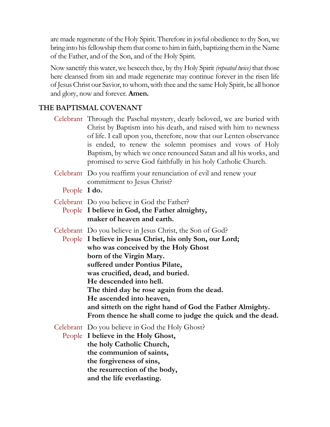are made regenerate of the Holy Spirit. Therefore in joyful obedience to thy Son, we bring into his fellowship them that come to him in faith, baptizing them in the Name of the Father, and of the Son, and of the Holy Spirit.

Now sanctify this water, we beseech thee, by thy Holy Spirit *(repeated twice)* that those here cleansed from sin and made regenerate may continue forever in the risen life of Jesus Christ our Savior, to whom, with thee and the same Holy Spirit, be all honor and glory, now and forever. **Amen.**

# **THE BAPTISMAL COVENANT**

- Celebrant Through the Paschal mystery, dearly beloved, we are buried with Christ by Baptism into his death, and raised with him to newness of life. I call upon you, therefore, now that our Lenten observance is ended, to renew the solemn promises and vows of Holy Baptism, by which we once renounced Satan and all his works, and promised to serve God faithfully in his holy Catholic Church.
- Celebrant Do you reaffirm your renunciation of evil and renew your commitment to Jesus Christ?
	- People **I do.**
- Celebrant Do you believe in God the Father?
- People **I believe in God, the Father almighty, maker of heaven and earth.**
- Celebrant Do you believe in Jesus Christ, the Son of God? People **I believe in Jesus Christ, his only Son, our Lord; who was conceived by the Holy Ghost born of the Virgin Mary. suffered under Pontius Pilate, was crucified, dead, and buried. He descended into hell. The third day he rose again from the dead. He ascended into heaven, and sitteth on the right hand of God the Father Almighty.**
	- **From thence he shall come to judge the quick and the dead.**

Celebrant Do you believe in God the Holy Ghost?

People **I believe in the Holy Ghost, the holy Catholic Church, the communion of saints, the forgiveness of sins, the resurrection of the body, and the life everlasting.**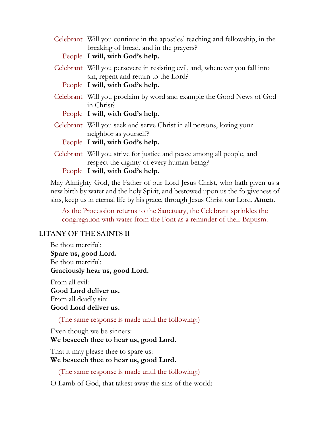| Celebrant Will you continue in the apostles' teaching and fellowship, in the<br>breaking of bread, and in the prayers?<br>People I will, with God's help. |
|-----------------------------------------------------------------------------------------------------------------------------------------------------------|
| Celebrant Will you persevere in resisting evil, and, whenever you fall into<br>sin, repent and return to the Lord?                                        |
| People I will, with God's help.                                                                                                                           |
| Celebrant Will you proclaim by word and example the Good News of God<br>in Christ?                                                                        |
| People I will, with God's help.                                                                                                                           |
| Celebrant Will you seek and serve Christ in all persons, loving your<br>neighbor as yourself?                                                             |
| People I will, with God's help.                                                                                                                           |
| Celebrant Will you strive for justice and peace among all people, and<br>respect the dignity of every human being?                                        |
| People I will, with God's help.                                                                                                                           |

May Almighty God, the Father of our Lord Jesus Christ, who hath given us a new birth by water and the holy Spirit, and bestowed upon us the forgiveness of sins, keep us in eternal life by his grace, through Jesus Christ our Lord. **Amen.**

As the Procession returns to the Sanctuary, the Celebrant sprinkles the congregation with water from the Font as a reminder of their Baptism.

### **LITANY OF THE SAINTS II**

Be thou merciful: **Spare us, good Lord.** Be thou merciful: **Graciously hear us, good Lord.**

From all evil: **Good Lord deliver us.** From all deadly sin: **Good Lord deliver us.**

(The same response is made until the following:)

Even though we be sinners:

### **We beseech thee to hear us, good Lord.**

That it may please thee to spare us: **We beseech thee to hear us, good Lord.**

(The same response is made until the following:)

O Lamb of God, that takest away the sins of the world: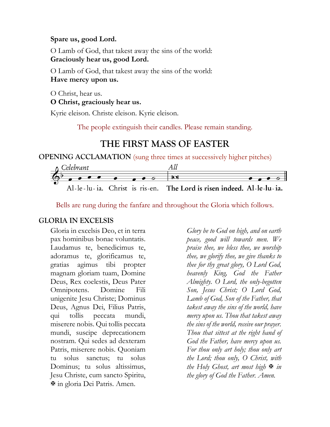### **Spare us, good Lord.**

O Lamb of God, that takest away the sins of the world: **Graciously hear us, good Lord.**

O Lamb of God, that takest away the sins of the world: **Have mercy upon us.**

O Christ, hear us.

**O Christ, graciously hear us.**

Kyrie eleison. Christe eleison. Kyrie eleison.

The people extinguish their candles. Please remain standing.

# **THE FIRST MASS OF EASTER**

**OPENING ACCLAMATION** (sung three times at successively higher pitches)



Bells are rung during the fanfare and throughout the Gloria which follows.

### **GLORIA IN EXCELSIS**

Gloria in excelsis Deo, et in terra pax hominibus bonae voluntatis. Laudamus te, benedicimus te, adoramus te, glorificamus te, gratias agimus tibi propter magnam gloriam tuam, Domine Deus, Rex coelestis, Deus Pater Omnipotens. Domine Fili unigenite Jesu Christe; Dominus Deus, Agnus Dei, Filius Patris, qui tollis peccata mundi, miserere nobis. Qui tollis peccata mundi, suscipe deprecationem nostram. Qui sedes ad dexteram Patris, miserere nobis. Quoniam tu solus sanctus; tu solus Dominus; tu solus altissimus, Jesu Christe, cum sancto Spiritu, in gloria Dei Patris. Amen.

*Glory be to God on high, and on earth peace, good will towards men. We praise thee, we bless thee, we worship thee, we glorify thee, we give thanks to thee for thy great glory, O Lord God, heavenly King, God the Father Almighty. O Lord, the only-begotten Son, Jesus Christ; O Lord God, Lamb of God, Son of the Father, that takest away the sins of the world, have mercy upon us. Thou that takest away the sins of the world, receive our prayer. Thou that sittest at the right hand of God the Father, have mercy upon us. For thou only art holy; thou only art the Lord; thou only, O Christ, with the Holy Ghost, art most high*  $\mathbb F$  *in the glory of God the Father. Amen.*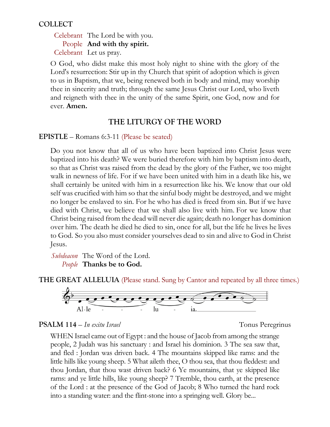# **COLLECT**

Celebrant The Lord be with you. People **And with thy spirit.** Celebrant Let us pray.

O God, who didst make this most holy night to shine with the glory of the Lord's resurrection: Stir up in thy Church that spirit of adoption which is given to us in Baptism, that we, being renewed both in body and mind, may worship thee in sincerity and truth; through the same Jesus Christ our Lord, who liveth and reigneth with thee in the unity of the same Spirit, one God, now and for ever. **Amen.**

# **THE LITURGY OF THE WORD**

**EPISTLE** – Romans 6:3-11 (Please be seated)

Do you not know that all of us who have been baptized into Christ Jesus were baptized into his death? We were buried therefore with him by baptism into death, so that as Christ was raised from the dead by the glory of the Father, we too might walk in newness of life. For if we have been united with him in a death like his, we shall certainly be united with him in a resurrection like his. We know that our old self was crucified with him so that the sinful body might be destroyed, and we might no longer be enslaved to sin. For he who has died is freed from sin. But if we have died with Christ, we believe that we shall also live with him. For we know that Christ being raised from the dead will never die again; death no longer has dominion over him. The death he died he died to sin, once for all, but the life he lives he lives to God. So you also must consider yourselves dead to sin and alive to God in Christ Jesus.

*Subdeacon* The Word of the Lord. *People* **Thanks be to God.**

**THE GREAT ALLELUIA** (Please stand. Sung by Cantor and repeated by all three times.)



### **PSALM 114** – *In exitu Israel* Tonus Peregrinus

WHEN Israel came out of Egypt : and the house of Jacob from among the strange people, 2 Judah was his sanctuary : and Israel his dominion. 3 The sea saw that, and fled : Jordan was driven back. 4 The mountains skipped like rams: and the little hills like young sheep. 5 What aileth thee, O thou sea, that thou fleddest: and thou Jordan, that thou wast driven back? 6 Ye mountains, that ye skipped like rams: and ye little hills, like young sheep? 7 Tremble, thou earth, at the presence of the Lord : at the presence of the God of Jacob; 8 Who turned the hard rock into a standing water: and the flint-stone into a springing well. Glory be...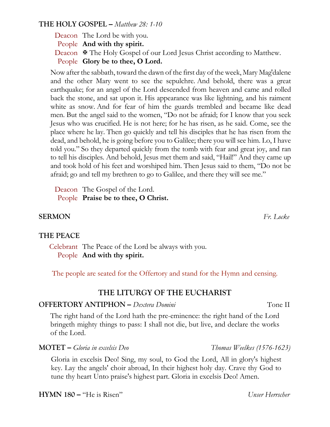### **THE HOLY GOSPEL –** *Matthew 28: 1-10*

Deacon The Lord be with you. People **And with thy spirit.** Deacon  $\Phi$  The Holy Gospel of our Lord Jesus Christ according to Matthew. People **Glory be to thee, O Lord.**

Now after the sabbath, toward the dawn of the first day of the week, Mary Mag′dalene and the other Mary went to see the sepulchre. And behold, there was a great earthquake; for an angel of the Lord descended from heaven and came and rolled back the stone, and sat upon it. His appearance was like lightning, and his raiment white as snow. And for fear of him the guards trembled and became like dead men. But the angel said to the women, "Do not be afraid; for I know that you seek Jesus who was crucified. He is not here; for he has risen, as he said. Come, see the place where he lay. Then go quickly and tell his disciples that he has risen from the dead, and behold, he is going before you to Galilee; there you will see him. Lo, I have told you." So they departed quickly from the tomb with fear and great joy, and ran to tell his disciples. And behold, Jesus met them and said, "Hail!" And they came up and took hold of his feet and worshiped him. Then Jesus said to them, "Do not be afraid; go and tell my brethren to go to Galilee, and there they will see me."

Deacon The Gospel of the Lord. People **Praise be to thee, O Christ.**

## **SERMON** *Fr. Locke*

### **THE PEACE**

Celebrant The Peace of the Lord be always with you. People **And with thy spirit.**

The people are seated for the Offertory and stand for the Hymn and censing.

### **THE LITURGY OF THE EUCHARIST**

### **OFFERTORY ANTIPHON –** *Dextera Domini* Tone II

The right hand of the Lord hath the pre-eminence: the right hand of the Lord bringeth mighty things to pass: I shall not die, but live, and declare the works of the Lord.

**MOTET –** *Gloria in excelsis Deo Thomas Weelkes (1576-1623)*

Gloria in excelsis Deo! Sing, my soul, to God the Lord, All in glory's highest key. Lay the angels' choir abroad, In their highest holy day. Crave thy God to tune thy heart Unto praise's highest part. Gloria in excelsis Deo! Amen.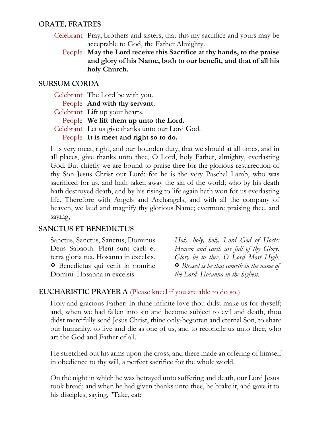### **ORATE, FRATRES**

- Celebrant Pray, brothers and sisters, that this my sacrifice and yours may be acceptable to God, the Father Almighty.
	- People **May the Lord receive this Sacrifice at thy hands, to the praise and glory of his Name, both to our benefit, and that of all his holy Church.**

## **SURSUM CORDA**

| Celebrant The Lord be with you.                 |
|-------------------------------------------------|
| People And with thy servant.                    |
| Celebrant Lift up your hearts.                  |
| People We lift them up unto the Lord.           |
| Celebrant Let us give thanks unto our Lord God. |
| People It is meet and right so to do.           |

It is very meet, right, and our bounden duty, that we should at all times, and in all places, give thanks unto thee, O Lord, holy Father, almighty, everlasting God. But chiefly we are bound to praise thee for the glorious resurrection of thy Son Jesus Christ our Lord; for he is the very Paschal Lamb, who was sacrificed for us, and hath taken away the sin of the world; who by his death hath destroyed death, and by his rising to life again hath won for us everlasting life. Therefore with Angels and Archangels, and with all the company of heaven, we laud and magnify thy glorious Name; evermore praising thee, and saying,

# **SANCTUS ET BENEDICTUS**

Sanctus, Sanctus, Sanctus, Dominus Deus Sabaoth: Pleni sunt caeli et terra gloria tua. Hosanna in excelsis. Benedictus qui venit in nomine Domini. Hosanna in excelsis.

*Holy, holy, holy, Lord God of Hosts: Heaven and earth are full of thy Glory. Glory be to thee, O Lord Most High. Blessed is he that cometh in the name of the Lord. Hosanna in the highest.*

### **EUCHARISTIC PRAYER A** (Please kneel if you are able to do so.)

Holy and gracious Father: In thine infinite love thou didst make us for thyself; and, when we had fallen into sin and become subject to evil and death, thou didst mercifully send Jesus Christ, thine only-begotten and eternal Son, to share our humanity, to live and die as one of us, and to reconcile us unto thee, who art the God and Father of all.

He stretched out his arms upon the cross, and there made an offering of himself in obedience to thy will, a perfect sacrifice for the whole world.

On the night in which he was betrayed unto suffering and death, our Lord Jesus took bread; and when he had given thanks unto thee, he brake it, and gave it to his disciples, saying, "Take, eat: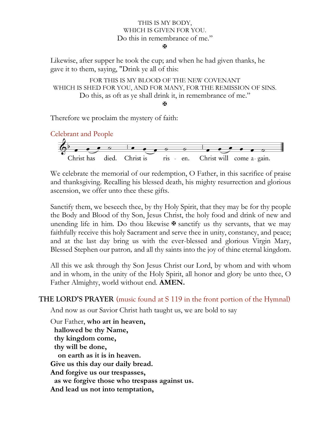### THIS IS MY BODY, WHICH IS GIVEN FOR YOU. Do this in remembrance of me."

ж

Likewise, after supper he took the cup; and when he had given thanks, he gave it to them, saying, "Drink ye all of this:

```
FOR THIS IS MY BLOOD OF THE NEW COVENANT
WHICH IS SHED FOR YOU, AND FOR MANY, FOR THE REMISSION OF SINS.
        Do this, as oft as ye shall drink it, in remembrance of me."
                                 Ж
```
Therefore we proclaim the mystery of faith:

Celebrant and People



We celebrate the memorial of our redemption, O Father, in this sacrifice of praise and thanksgiving. Recalling his blessed death, his mighty resurrection and glorious ascension, we offer unto thee these gifts.

Sanctify them, we beseech thee, by thy Holy Spirit, that they may be for thy people the Body and Blood of thy Son, Jesus Christ, the holy food and drink of new and unending life in him. Do thou likewise  $\mathbf{\Psi}$  sanctify us thy servants, that we may faithfully receive this holy Sacrament and serve thee in unity, constancy, and peace; and at the last day bring us with the ever-blessed and glorious Virgin Mary, Blessed Stephen our patron*,* and all thy saints into the joy of thine eternal kingdom.

All this we ask through thy Son Jesus Christ our Lord, by whom and with whom and in whom, in the unity of the Holy Spirit, all honor and glory be unto thee, O Father Almighty, world without end. **AMEN.**

**THE LORD'S PRAYER** (music found at S 119 in the front portion of the Hymnal)

And now as our Savior Christ hath taught us, we are bold to say

Our Father, **who art in heaven, hallowed be thy Name, thy kingdom come, thy will be done, on earth as it is in heaven. Give us this day our daily bread. And forgive us our trespasses, as we forgive those who trespass against us. And lead us not into temptation,**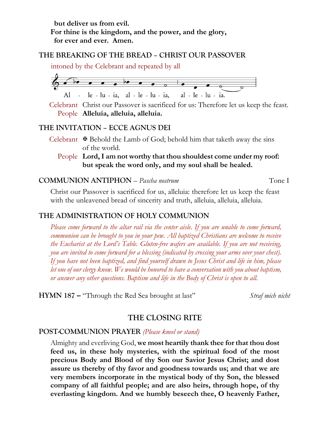**but deliver us from evil. For thine is the kingdom, and the power, and the glory, for ever and ever. Amen.**

### **THE BREAKING OF THE BREAD – CHRIST OUR PASSOVER**

intoned by the Celebrant and repeated by all



Celebrant Christ our Passover is sacrificed for us: Therefore let us keep the feast. People **Alleluia, alleluia, alleluia.**

### **THE INVITATION – ECCE AGNUS DEI**

- Celebrant  $\mathbf{\Psi}$  Behold the Lamb of God; behold him that taketh away the sins of the world.
	- People **Lord, I am not worthy that thou shouldest come under my roof: but speak the word only, and my soul shall be healed.**

### **COMMUNION ANTIPHON** – *Pascha nostrum*Tone I

Christ our Passover is sacrificed for us, alleluia: therefore let us keep the feast with the unleavened bread of sincerity and truth, alleluia, alleluia, alleluia.

### **THE ADMINISTRATION OF HOLY COMMUNION**

*Please come forward to the altar rail via the center aisle. If you are unable to come forward, communion can be brought to you in your pew. All baptized Christians are welcome to receive the Eucharist at the Lord's Table. Gluten-free wafers are available. If you are not receiving, you are invited to come forward for a blessing (indicated by crossing your arms over your chest). If you have not been baptized, and find yourself drawn to Jesus Christ and life in him, please let one of our clergy know. We would be honored to have a conversation with you about baptism, or answer any other questions. Baptism and life in the Body of Christ is open to all.*

**HYMN 187** – "Through the Red Sea brought at last" *Straf mich nicht* 

### **THE CLOSING RITE**

#### **POST-COMMUNION PRAYER** *(Please kneel or stand)*

Almighty and everliving God, **we most heartily thank thee for that thou dost feed us, in these holy mysteries, with the spiritual food of the most precious Body and Blood of thy Son our Savior Jesus Christ; and dost assure us thereby of thy favor and goodness towards us; and that we are very members incorporate in the mystical body of thy Son, the blessed company of all faithful people; and are also heirs, through hope, of thy everlasting kingdom. And we humbly beseech thee, O heavenly Father,**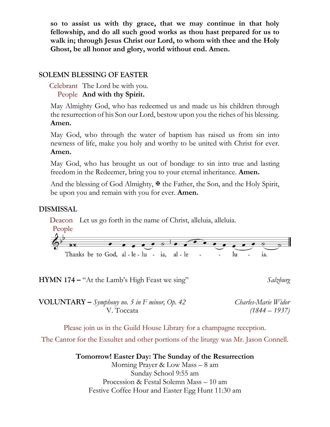**so to assist us with thy grace, that we may continue in that holy fellowship, and do all such good works as thou hast prepared for us to walk in; through Jesus Christ our Lord, to whom with thee and the Holy Ghost, be all honor and glory, world without end. Amen.**

# **SOLEMN BLESSING OF EASTER**

Celebrant The Lord be with you. People **And with thy Spirit.**

May Almighty God, who has redeemed us and made us his children through the resurrection of his Son our Lord, bestow upon you the riches of his blessing. **Amen.**

May God, who through the water of baptism has raised us from sin into newness of life, make you holy and worthy to be united with Christ for ever. **Amen.**

May God, who has brought us out of bondage to sin into true and lasting freedom in the Redeemer, bring you to your eternal inheritance. **Amen.**

And the blessing of God Almighty,  $\mathcal F$  the Father, the Son, and the Holy Spirit, be upon you and remain with you for ever. **Amen.**

### **DISMISSAL**

Deacon Let us go forth in the name of Christ, alleluia, alleluia. People Thanks be to God, al-le-lu - ia, al-le lu

**HYMN 174 –** "At the Lamb's High Feast we sing" *Salzburg*

**VOLUNTARY –** *Symphony no. 5 in F minor, Op. 42 Charles-Marie Widor* V. Toccata *(1844 – 1937)*

Please join us in the Guild House Library for a champagne reception.

The Cantor for the Exsultet and other portions of the liturgy was Mr. Jason Connell.

**Tomorrow! Easter Day: The Sunday of the Resurrection** Morning Prayer & Low Mass – 8 am Sunday School 9:55 am Procession & Festal Solemn Mass – 10 am Festive Coffee Hour and Easter Egg Hunt 11:30 am